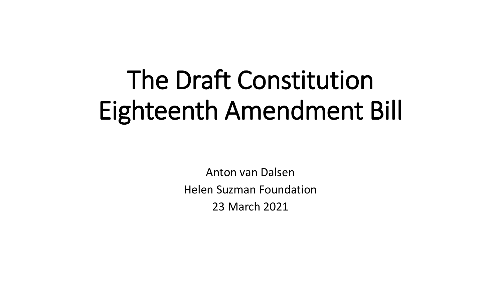# The Draft Constitution Eighteenth Amendment Bill

Anton van Dalsen Helen Suzman Foundation 23 March 2021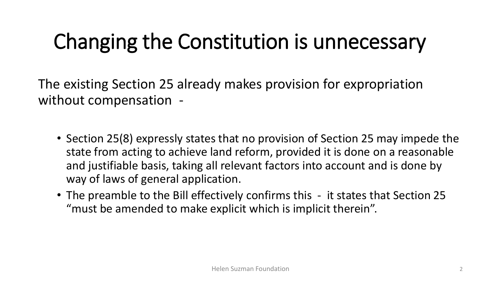#### Changing the Constitution is unnecessary

The existing Section 25 already makes provision for expropriation without compensation -

- Section 25(8) expressly states that no provision of Section 25 may impede the state from acting to achieve land reform, provided it is done on a reasonable and justifiable basis, taking all relevant factors into account and is done by way of laws of general application.
- The preamble to the Bill effectively confirms this it states that Section 25 "must be amended to make explicit which is implicit therein".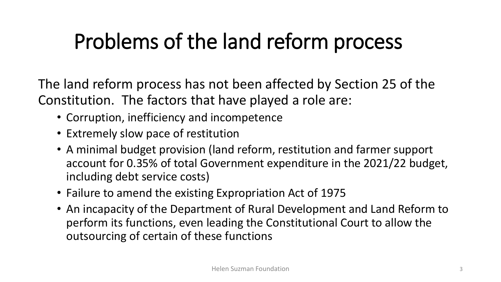### Problems of the land reform process

The land reform process has not been affected by Section 25 of the Constitution. The factors that have played a role are:

- Corruption, inefficiency and incompetence
- Extremely slow pace of restitution
- A minimal budget provision (land reform, restitution and farmer support account for 0.35% of total Government expenditure in the 2021/22 budget, including debt service costs)
- Failure to amend the existing Expropriation Act of 1975
- An incapacity of the Department of Rural Development and Land Reform to perform its functions, even leading the Constitutional Court to allow the outsourcing of certain of these functions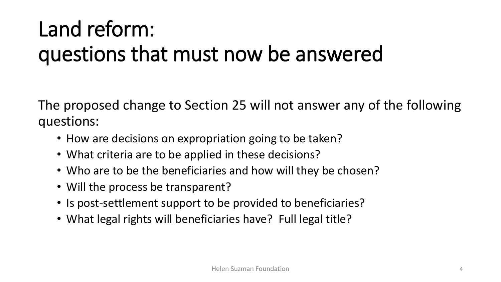# Land reform: questions that must now be answered

The proposed change to Section 25 will not answer any of the following questions:

- How are decisions on expropriation going to be taken?
- What criteria are to be applied in these decisions?
- Who are to be the beneficiaries and how will they be chosen?
- Will the process be transparent?
- Is post-settlement support to be provided to beneficiaries?
- What legal rights will beneficiaries have? Full legal title?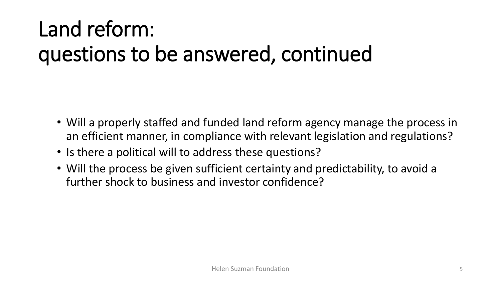# Land reform: questions to be answered, continued

- Will a properly staffed and funded land reform agency manage the process in an efficient manner, in compliance with relevant legislation and regulations?
- Is there a political will to address these questions?
- Will the process be given sufficient certainty and predictability, to avoid a further shock to business and investor confidence?